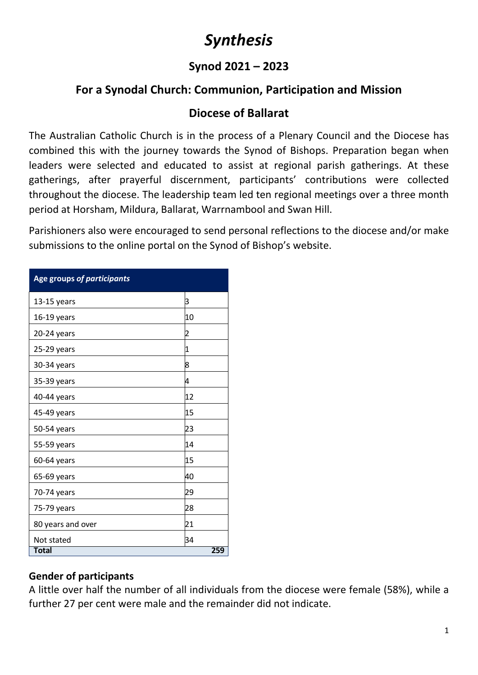# *Synthesis*

### **Synod 2021 – 2023**

## **For a Synodal Church: Communion, Participation and Mission**

### **Diocese of Ballarat**

The Australian Catholic Church is in the process of a Plenary Council and the Diocese has combined this with the journey towards the Synod of Bishops. Preparation began when leaders were selected and educated to assist at regional parish gatherings. At these gatherings, after prayerful discernment, participants' contributions were collected throughout the diocese. The leadership team led ten regional meetings over a three month period at Horsham, Mildura, Ballarat, Warrnambool and Swan Hill.

Parishioners also were encouraged to send personal reflections to the diocese and/or make submissions to the online portal on the Synod of Bishop's website.

| Age groups of participants |                |
|----------------------------|----------------|
| 13-15 years                | З              |
| 16-19 years                | 10             |
| 20-24 years                | $\overline{c}$ |
| 25-29 years                | 1              |
| 30-34 years                | 8              |
| 35-39 years                | 4              |
| 40-44 years                | 12             |
| 45-49 years                | 15             |
| 50-54 years                | 23             |
| 55-59 years                | 14             |
| 60-64 years                | 15             |
| 65-69 years                | 40             |
| 70-74 years                | 29             |
| 75-79 years                | 28             |
| 80 years and over          | 21             |
| Not stated                 | 34             |
| <b>Total</b>               | 259            |

**Table 2: Age groups** *(individual responses only)*

### **Gender of participants**

A little over half the number of all individuals from the diocese were female (58%), while a further 27 per cent were male and the remainder did not indicate.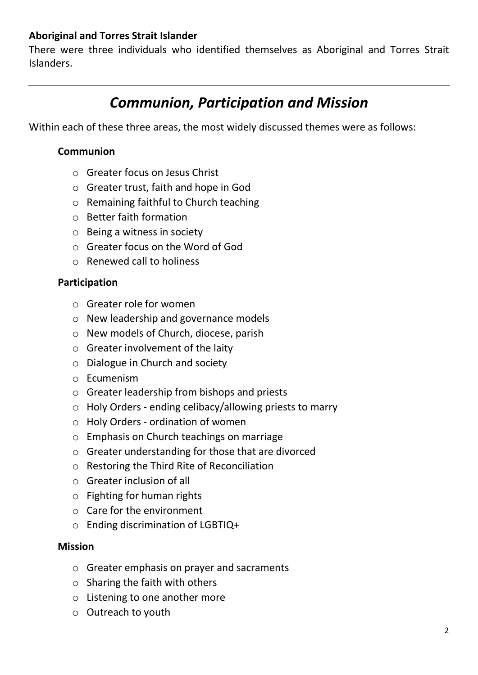#### **Aboriginal and Torres Strait Islander**

There were three individuals who identified themselves as Aboriginal and Torres Strait Islanders.

## *Communion, Participation and Mission*

Within each of these three areas, the most widely discussed themes were as follows:

#### **Communion**

- o Greater focus on Jesus Christ
- o Greater trust, faith and hope in God
- o Remaining faithful to Church teaching
- o Better faith formation
- o Being a witness in society
- o Greater focus on the Word of God
- o Renewed call to holiness

#### **Participation**

- o Greater role for women
- o New leadership and governance models
- o New models of Church, diocese, parish
- o Greater involvement of the laity
- o Dialogue in Church and society
- o Ecumenism
- o Greater leadership from bishops and priests
- o Holy Orders ending celibacy/allowing priests to marry
- o Holy Orders ordination of women
- o Emphasis on Church teachings on marriage
- o Greater understanding for those that are divorced
- o Restoring the Third Rite of Reconciliation
- o Greater inclusion of all
- o Fighting for human rights
- o Care for the environment
- o Ending discrimination of LGBTIQ+

#### **Mission**

- o Greater emphasis on prayer and sacraments
- $\circ$  Sharing the faith with others
- o Listening to one another more
- o Outreach to youth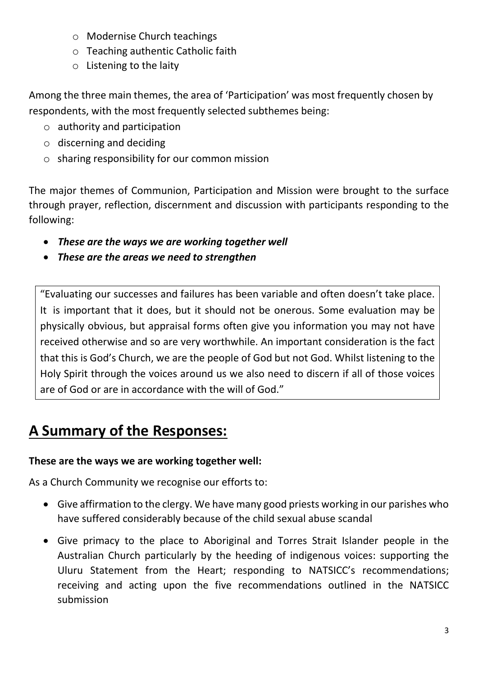- o Modernise Church teachings
- o Teaching authentic Catholic faith
- o Listening to the laity

Among the three main themes, the area of 'Participation' was most frequently chosen by respondents, with the most frequently selected subthemes being:

- $\circ$  authority and participation
- o discerning and deciding
- o sharing responsibility for our common mission

The major themes of Communion, Participation and Mission were brought to the surface through prayer, reflection, discernment and discussion with participants responding to the following:

- *These are the ways we are working together well*
- *These are the areas we need to strengthen*

"Evaluating our successes and failures has been variable and often doesn't take place. It is important that it does, but it should not be onerous. Some evaluation may be physically obvious, but appraisal forms often give you information you may not have received otherwise and so are very worthwhile. An important consideration is the fact that this is God's Church, we are the people of God but not God. Whilst listening to the Holy Spirit through the voices around us we also need to discern if all of those voices are of God or are in accordance with the will of God."

## **A Summary of the Responses:**

### **These are the ways we are working together well:**

As a Church Community we recognise our efforts to:

- Give affirmation to the clergy. We have many good priests working in our parishes who have suffered considerably because of the child sexual abuse scandal
- Give primacy to the place to Aboriginal and Torres Strait Islander people in the Australian Church particularly by the heeding of indigenous voices: supporting the Uluru Statement from the Heart; responding to NATSICC's recommendations; receiving and acting upon the five recommendations outlined in the NATSICC submission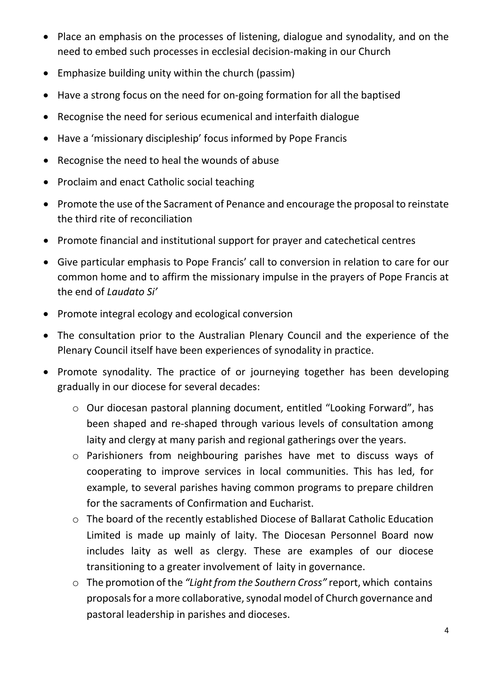- Place an emphasis on the processes of listening, dialogue and synodality, and on the need to embed such processes in ecclesial decision-making in our Church
- Emphasize building unity within the church (passim)
- Have a strong focus on the need for on-going formation for all the baptised
- Recognise the need for serious ecumenical and interfaith dialogue
- Have a 'missionary discipleship' focus informed by Pope Francis
- Recognise the need to heal the wounds of abuse
- Proclaim and enact Catholic social teaching
- Promote the use of the Sacrament of Penance and encourage the proposal to reinstate the third rite of reconciliation
- Promote financial and institutional support for prayer and catechetical centres
- Give particular emphasis to Pope Francis' call to conversion in relation to care for our common home and to affirm the missionary impulse in the prayers of Pope Francis at the end of *Laudato Si'*
- Promote integral ecology and ecological conversion
- The consultation prior to the Australian Plenary Council and the experience of the Plenary Council itself have been experiences of synodality in practice.
- Promote synodality. The practice of or journeying together has been developing gradually in our diocese for several decades:
	- o Our diocesan pastoral planning document, entitled "Looking Forward", has been shaped and re-shaped through various levels of consultation among laity and clergy at many parish and regional gatherings over the years.
	- o Parishioners from neighbouring parishes have met to discuss ways of cooperating to improve services in local communities. This has led, for example, to several parishes having common programs to prepare children for the sacraments of Confirmation and Eucharist.
	- o The board of the recently established Diocese of Ballarat Catholic Education Limited is made up mainly of laity. The Diocesan Personnel Board now includes laity as well as clergy. These are examples of our diocese transitioning to a greater involvement of laity in governance.
	- o The promotion of the *"Light from the Southern Cross"* report, which contains proposals for a more collaborative, synodal model of Church governance and pastoral leadership in parishes and dioceses.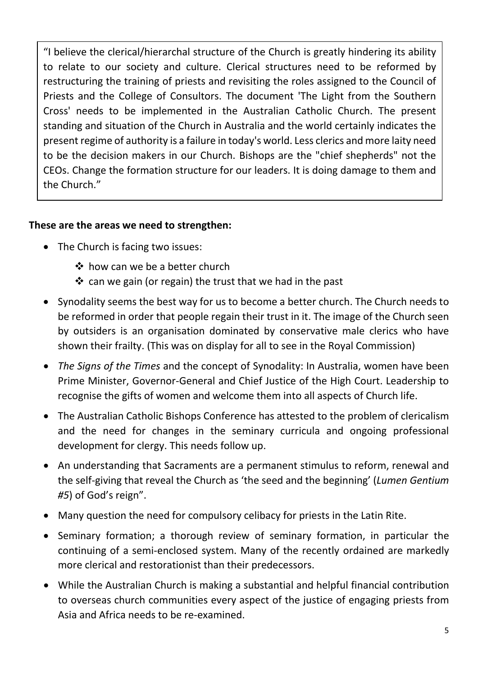"I believe the clerical/hierarchal structure of the Church is greatly hindering its ability to relate to our society and culture. Clerical structures need to be reformed by restructuring the training of priests and revisiting the roles assigned to the Council of Priests and the College of Consultors. The document 'The Light from the Southern Cross' needs to be implemented in the Australian Catholic Church. The present standing and situation of the Church in Australia and the world certainly indicates the present regime of authority is a failure in today's world. Less clerics and more laity need to be the decision makers in our Church. Bishops are the "chief shepherds" not the CEOs. Change the formation structure for our leaders. It is doing damage to them and the Church."

### **These are the areas we need to strengthen:**

- The Church is facing two issues:
	- ❖ how can we be a better church
	- $\cdot$  can we gain (or regain) the trust that we had in the past
- Synodality seems the best way for us to become a better church. The Church needs to be reformed in order that people regain their trust in it. The image of the Church seen by outsiders is an organisation dominated by conservative male clerics who have shown their frailty. (This was on display for all to see in the Royal Commission)
- *The Signs of the Times* and the concept of Synodality: In Australia, women have been Prime Minister, Governor-General and Chief Justice of the High Court. Leadership to recognise the gifts of women and welcome them into all aspects of Church life.
- The Australian Catholic Bishops Conference has attested to the problem of clericalism and the need for changes in the seminary curricula and ongoing professional development for clergy. This needs follow up.
- An understanding that Sacraments are a permanent stimulus to reform, renewal and the self-giving that reveal the Church as 'the seed and the beginning' (*Lumen Gentium #5*) of God's reign".
- Many question the need for compulsory celibacy for priests in the Latin Rite.
- Seminary formation; a thorough review of seminary formation, in particular the continuing of a semi-enclosed system. Many of the recently ordained are markedly more clerical and restorationist than their predecessors.
- While the Australian Church is making a substantial and helpful financial contribution to overseas church communities every aspect of the justice of engaging priests from Asia and Africa needs to be re-examined.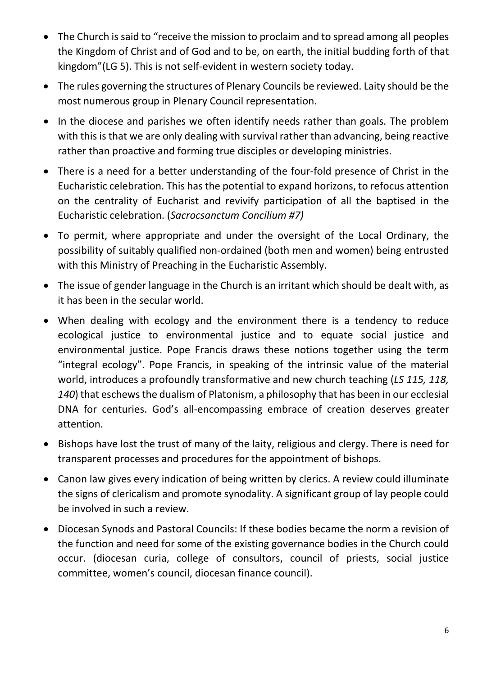- The Church is said to "receive the mission to proclaim and to spread among all peoples the Kingdom of Christ and of God and to be, on earth, the initial budding forth of that kingdom"(LG 5). This is not self-evident in western society today.
- The rules governing the structures of Plenary Councils be reviewed. Laity should be the most numerous group in Plenary Council representation.
- In the diocese and parishes we often identify needs rather than goals. The problem with this is that we are only dealing with survival rather than advancing, being reactive rather than proactive and forming true disciples or developing ministries.
- There is a need for a better understanding of the four-fold presence of Christ in the Eucharistic celebration. This has the potential to expand horizons, to refocus attention on the centrality of Eucharist and revivify participation of all the baptised in the Eucharistic celebration. (*Sacrocsanctum Concilium #7)*
- To permit, where appropriate and under the oversight of the Local Ordinary, the possibility of suitably qualified non-ordained (both men and women) being entrusted with this Ministry of Preaching in the Eucharistic Assembly.
- The issue of gender language in the Church is an irritant which should be dealt with, as it has been in the secular world.
- When dealing with ecology and the environment there is a tendency to reduce ecological justice to environmental justice and to equate social justice and environmental justice. Pope Francis draws these notions together using the term "integral ecology". Pope Francis, in speaking of the intrinsic value of the material world, introduces a profoundly transformative and new church teaching (*LS 115, 118, 140*) that eschews the dualism of Platonism, a philosophy that has been in our ecclesial DNA for centuries. God's all-encompassing embrace of creation deserves greater attention.
- Bishops have lost the trust of many of the laity, religious and clergy. There is need for transparent processes and procedures for the appointment of bishops.
- Canon law gives every indication of being written by clerics. A review could illuminate the signs of clericalism and promote synodality. A significant group of lay people could be involved in such a review.
- Diocesan Synods and Pastoral Councils: If these bodies became the norm a revision of the function and need for some of the existing governance bodies in the Church could occur. (diocesan curia, college of consultors, council of priests, social justice committee, women's council, diocesan finance council).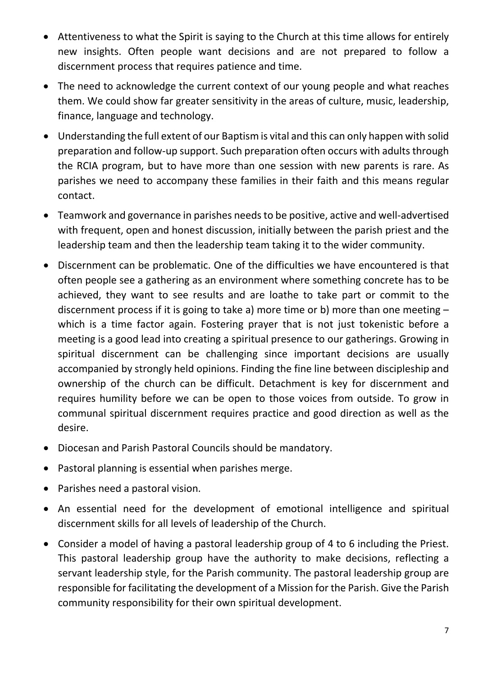- Attentiveness to what the Spirit is saying to the Church at this time allows for entirely new insights. Often people want decisions and are not prepared to follow a discernment process that requires patience and time.
- The need to acknowledge the current context of our young people and what reaches them. We could show far greater sensitivity in the areas of culture, music, leadership, finance, language and technology.
- Understanding the full extent of our Baptism is vital and this can only happen with solid preparation and follow-up support. Such preparation often occurs with adults through the RCIA program, but to have more than one session with new parents is rare. As parishes we need to accompany these families in their faith and this means regular contact.
- Teamwork and governance in parishes needs to be positive, active and well-advertised with frequent, open and honest discussion, initially between the parish priest and the leadership team and then the leadership team taking it to the wider community.
- Discernment can be problematic. One of the difficulties we have encountered is that often people see a gathering as an environment where something concrete has to be achieved, they want to see results and are loathe to take part or commit to the discernment process if it is going to take a) more time or b) more than one meeting – which is a time factor again. Fostering prayer that is not just tokenistic before a meeting is a good lead into creating a spiritual presence to our gatherings. Growing in spiritual discernment can be challenging since important decisions are usually accompanied by strongly held opinions. Finding the fine line between discipleship and ownership of the church can be difficult. Detachment is key for discernment and requires humility before we can be open to those voices from outside. To grow in communal spiritual discernment requires practice and good direction as well as the desire.
- Diocesan and Parish Pastoral Councils should be mandatory.
- Pastoral planning is essential when parishes merge.
- Parishes need a pastoral vision.
- An essential need for the development of emotional intelligence and spiritual discernment skills for all levels of leadership of the Church.
- Consider a model of having a pastoral leadership group of 4 to 6 including the Priest. This pastoral leadership group have the authority to make decisions, reflecting a servant leadership style, for the Parish community. The pastoral leadership group are responsible for facilitating the development of a Mission for the Parish. Give the Parish community responsibility for their own spiritual development.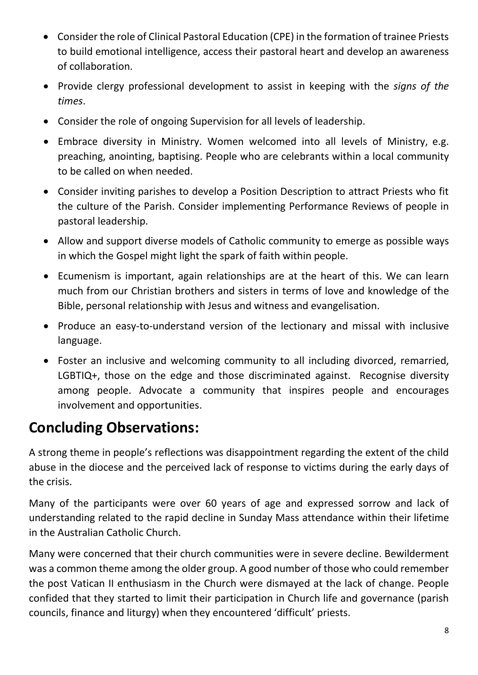- Consider the role of Clinical Pastoral Education (CPE) in the formation of trainee Priests to build emotional intelligence, access their pastoral heart and develop an awareness of collaboration.
- Provide clergy professional development to assist in keeping with the *signs of the times*.
- Consider the role of ongoing Supervision for all levels of leadership.
- Embrace diversity in Ministry. Women welcomed into all levels of Ministry, e.g. preaching, anointing, baptising. People who are celebrants within a local community to be called on when needed.
- Consider inviting parishes to develop a Position Description to attract Priests who fit the culture of the Parish. Consider implementing Performance Reviews of people in pastoral leadership.
- Allow and support diverse models of Catholic community to emerge as possible ways in which the Gospel might light the spark of faith within people.
- Ecumenism is important, again relationships are at the heart of this. We can learn much from our Christian brothers and sisters in terms of love and knowledge of the Bible, personal relationship with Jesus and witness and evangelisation.
- Produce an easy-to-understand version of the lectionary and missal with inclusive language.
- Foster an inclusive and welcoming community to all including divorced, remarried, LGBTIQ+, those on the edge and those discriminated against. Recognise diversity among people. Advocate a community that inspires people and encourages involvement and opportunities.

# **Concluding Observations:**

A strong theme in people's reflections was disappointment regarding the extent of the child abuse in the diocese and the perceived lack of response to victims during the early days of the crisis.

Many of the participants were over 60 years of age and expressed sorrow and lack of understanding related to the rapid decline in Sunday Mass attendance within their lifetime in the Australian Catholic Church.

Many were concerned that their church communities were in severe decline. Bewilderment was a common theme among the older group. A good number of those who could remember the post Vatican II enthusiasm in the Church were dismayed at the lack of change. People confided that they started to limit their participation in Church life and governance (parish councils, finance and liturgy) when they encountered 'difficult' priests.